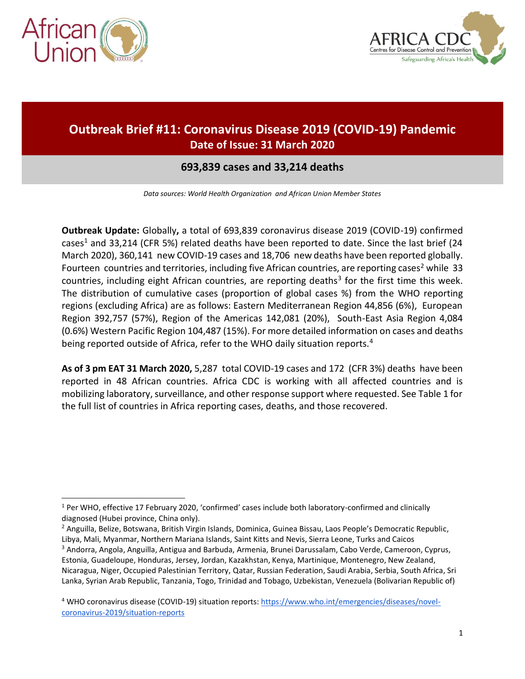

 $\overline{a}$ 



# **Outbreak Brief #11: Coronavirus Disease 2019 (COVID-19) Pandemic Date of Issue: 31 March 2020**

## **693,839 cases and 33,214 deaths**

*Data sources: World Health Organization and African Union Member States*

**Outbreak Update:** Globally**,** a total of 693,839 coronavirus disease 2019 (COVID-19) confirmed cases<sup>1</sup> and 33,214 (CFR 5%) related deaths have been reported to date. Since the last brief (24 March 2020), 360,141 new COVID-19 cases and 18,706 new deaths have been reported globally. Fourteen countries and territories, including five African countries, are reporting cases<sup>2</sup> while 33 countries, including eight African countries, are reporting deaths<sup>3</sup> for the first time this week. The distribution of cumulative cases (proportion of global cases %) from the WHO reporting regions (excluding Africa) are as follows: Eastern Mediterranean Region 44,856 (6%), European Region 392,757 (57%), Region of the Americas 142,081 (20%), South-East Asia Region 4,084 (0.6%) Western Pacific Region 104,487 (15%). For more detailed information on cases and deaths being reported outside of Africa, refer to the WHO daily situation reports.<sup>4</sup>

**As of 3 pm EAT 31 March 2020,** 5,287 total COVID-19 cases and 172 (CFR 3%) deaths have been reported in 48 African countries. Africa CDC is working with all affected countries and is mobilizing laboratory, surveillance, and other response support where requested. See Table 1 for the full list of countries in Africa reporting cases, deaths, and those recovered.

<sup>1</sup> Per WHO, effective 17 February 2020, 'confirmed' cases include both laboratory-confirmed and clinically diagnosed (Hubei province, China only).

<sup>2</sup> Anguilla, Belize, Botswana, British Virgin Islands, Dominica, Guinea Bissau, Laos People's Democratic Republic, Libya, Mali, Myanmar, Northern Mariana Islands, Saint Kitts and Nevis, Sierra Leone, Turks and Caicos <sup>3</sup> Andorra, Angola, Anguilla, Antigua and Barbuda, Armenia, Brunei Darussalam, Cabo Verde, Cameroon, Cyprus, Estonia, Guadeloupe, Honduras, Jersey, Jordan, Kazakhstan, Kenya, Martinique, Montenegro, New Zealand, Nicaragua, Niger, Occupied Palestinian Territory, Qatar, Russian Federation, Saudi Arabia, Serbia, South Africa, Sri Lanka, Syrian Arab Republic, Tanzania, Togo, Trinidad and Tobago, Uzbekistan, Venezuela (Bolivarian Republic of)

<sup>&</sup>lt;sup>4</sup> WHO coronavirus disease (COVID-19) situation reports[: https://www.who.int/emergencies/diseases/novel](https://www.who.int/emergencies/diseases/novel-coronavirus-2019/situation-reports)[coronavirus-2019/situation-reports](https://www.who.int/emergencies/diseases/novel-coronavirus-2019/situation-reports)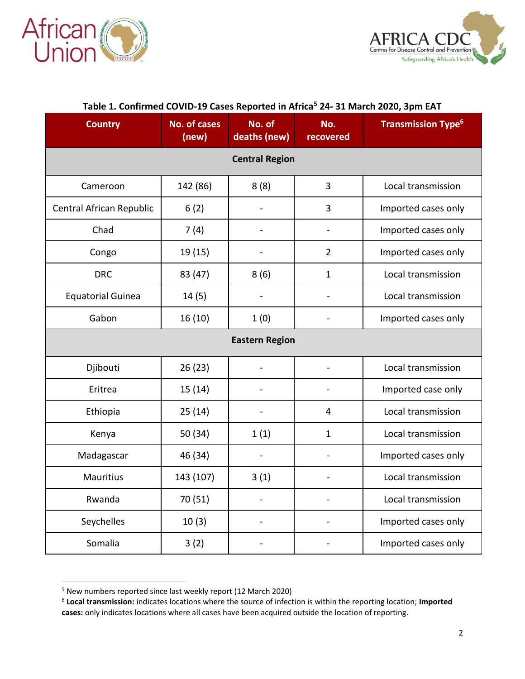



| <b>Country</b>           | No. of cases<br>(new) | No. of<br>deaths (new)   | No.<br>recovered         | <b>Transmission Type<sup>6</sup></b> |  |  |  |
|--------------------------|-----------------------|--------------------------|--------------------------|--------------------------------------|--|--|--|
| <b>Central Region</b>    |                       |                          |                          |                                      |  |  |  |
| Cameroon                 | 142 (86)              | 8(8)                     | $\overline{3}$           | Local transmission                   |  |  |  |
| Central African Republic | 6(2)                  |                          | 3                        | Imported cases only                  |  |  |  |
| Chad                     | 7(4)                  | $\overline{\phantom{0}}$ | $\blacksquare$           | Imported cases only                  |  |  |  |
| Congo                    | 19(15)                |                          | $\overline{2}$           | Imported cases only                  |  |  |  |
| <b>DRC</b>               | 83 (47)               | 8(6)                     | $\mathbf{1}$             | Local transmission                   |  |  |  |
| <b>Equatorial Guinea</b> | 14(5)                 |                          |                          | Local transmission                   |  |  |  |
| Gabon                    | 16(10)                | 1(0)                     |                          | Imported cases only                  |  |  |  |
| <b>Eastern Region</b>    |                       |                          |                          |                                      |  |  |  |
| Djibouti                 | 26(23)                |                          |                          | Local transmission                   |  |  |  |
| Eritrea                  | 15(14)                |                          |                          | Imported case only                   |  |  |  |
| Ethiopia                 | 25(14)                |                          | 4                        | Local transmission                   |  |  |  |
| Kenya                    | 50 (34)               | 1(1)                     | $\mathbf{1}$             | Local transmission                   |  |  |  |
| Madagascar               | 46 (34)               | $\overline{\phantom{0}}$ | $\overline{\phantom{m}}$ | Imported cases only                  |  |  |  |
| <b>Mauritius</b>         | 143 (107)             | 3(1)                     |                          | Local transmission                   |  |  |  |
| Rwanda                   | 70 (51)               |                          |                          | Local transmission                   |  |  |  |
| Seychelles               | 10(3)                 |                          |                          | Imported cases only                  |  |  |  |
| Somalia                  | 3(2)                  |                          |                          | Imported cases only                  |  |  |  |

# **Table 1. Confirmed COVID-19 Cases Reported in Africa<sup>5</sup> 24- 31 March 2020, 3pm EAT**

 $\overline{a}$ 

<sup>&</sup>lt;sup>5</sup> New numbers reported since last weekly report (12 March 2020)

<sup>6</sup> **Local transmission:** indicates locations where the source of infection is within the reporting location; **Imported cases:** only indicates locations where all cases have been acquired outside the location of reporting.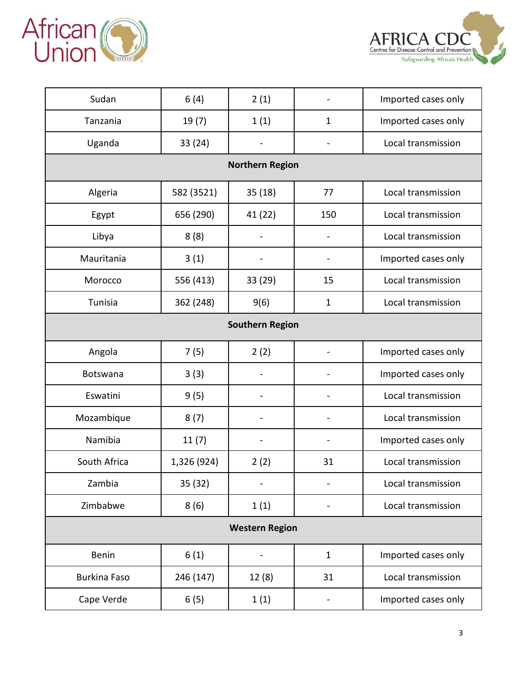



| Sudan                  | 6(4)        | 2(1)                         |                              | Imported cases only |  |  |  |
|------------------------|-------------|------------------------------|------------------------------|---------------------|--|--|--|
| Tanzania               | 19(7)       | 1(1)                         | $\mathbf{1}$                 | Imported cases only |  |  |  |
| Uganda                 | 33(24)      | $\overline{\phantom{a}}$     | $\qquad \qquad \blacksquare$ | Local transmission  |  |  |  |
| <b>Northern Region</b> |             |                              |                              |                     |  |  |  |
| Algeria                | 582 (3521)  | 35(18)                       | 77                           | Local transmission  |  |  |  |
| Egypt                  | 656 (290)   | 41 (22)                      | 150                          | Local transmission  |  |  |  |
| Libya                  | 8(8)        |                              | -                            | Local transmission  |  |  |  |
| Mauritania             | 3(1)        |                              |                              | Imported cases only |  |  |  |
| Morocco                | 556 (413)   | 33 (29)                      | 15                           | Local transmission  |  |  |  |
| Tunisia                | 362 (248)   | 9(6)                         | $\mathbf{1}$                 | Local transmission  |  |  |  |
| <b>Southern Region</b> |             |                              |                              |                     |  |  |  |
| Angola                 | 7(5)        | 2(2)                         |                              | Imported cases only |  |  |  |
| Botswana               | 3(3)        |                              |                              | Imported cases only |  |  |  |
| Eswatini               | 9(5)        |                              |                              | Local transmission  |  |  |  |
| Mozambique             | 8(7)        |                              |                              | Local transmission  |  |  |  |
| Namibia                | 11(7)       | $\qquad \qquad \blacksquare$ | $\qquad \qquad -$            | Imported cases only |  |  |  |
| South Africa           | 1,326 (924) | 2(2)                         | 31                           | Local transmission  |  |  |  |
| Zambia                 | 35 (32)     |                              |                              | Local transmission  |  |  |  |
| Zimbabwe               | 8(6)        | 1(1)                         |                              | Local transmission  |  |  |  |
| <b>Western Region</b>  |             |                              |                              |                     |  |  |  |
| Benin                  | 6(1)        |                              | $\mathbf{1}$                 | Imported cases only |  |  |  |
| <b>Burkina Faso</b>    | 246 (147)   | 12(8)                        | 31                           | Local transmission  |  |  |  |
| Cape Verde             | 6(5)        | 1(1)                         |                              | Imported cases only |  |  |  |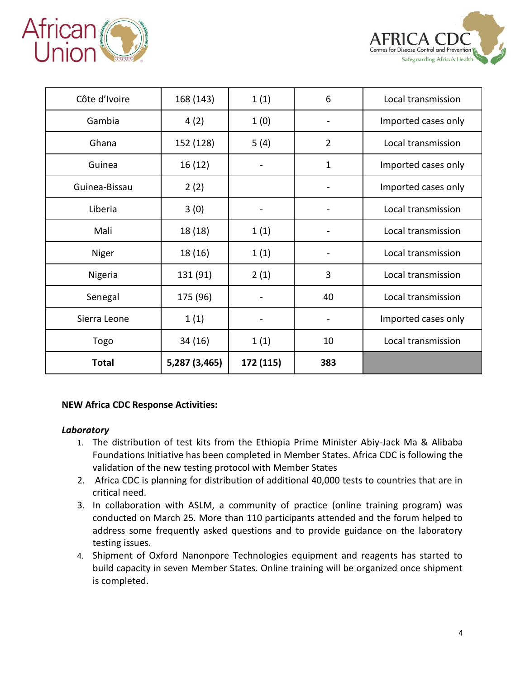



| Côte d'Ivoire | 168 (143)     | 1(1)      | 6              | Local transmission  |
|---------------|---------------|-----------|----------------|---------------------|
| Gambia        | 4(2)          | 1(0)      |                | Imported cases only |
| Ghana         | 152 (128)     | 5(4)      | $\overline{2}$ | Local transmission  |
| Guinea        | 16 (12)       |           | $\mathbf 1$    | Imported cases only |
| Guinea-Bissau | 2(2)          |           |                | Imported cases only |
| Liberia       | 3(0)          |           |                | Local transmission  |
| Mali          | 18 (18)       | 1(1)      |                | Local transmission  |
| Niger         | 18 (16)       | 1(1)      |                | Local transmission  |
| Nigeria       | 131 (91)      | 2(1)      | 3              | Local transmission  |
| Senegal       | 175 (96)      |           | 40             | Local transmission  |
| Sierra Leone  | 1(1)          |           |                | Imported cases only |
| Togo          | 34 (16)       | 1(1)      | 10             | Local transmission  |
| <b>Total</b>  | 5,287 (3,465) | 172 (115) | 383            |                     |

#### **NEW Africa CDC Response Activities:**

#### *Laboratory*

- 1. The distribution of test kits from the Ethiopia Prime Minister Abiy-Jack Ma & Alibaba Foundations Initiative has been completed in Member States. Africa CDC is following the validation of the new testing protocol with Member States
- 2. Africa CDC is planning for distribution of additional 40,000 tests to countries that are in critical need.
- 3. In collaboration with ASLM, a community of practice (online training program) was conducted on March 25. More than 110 participants attended and the forum helped to address some frequently asked questions and to provide guidance on the laboratory testing issues.
- 4. Shipment of Oxford Nanonpore Technologies equipment and reagents has started to build capacity in seven Member States. Online training will be organized once shipment is completed.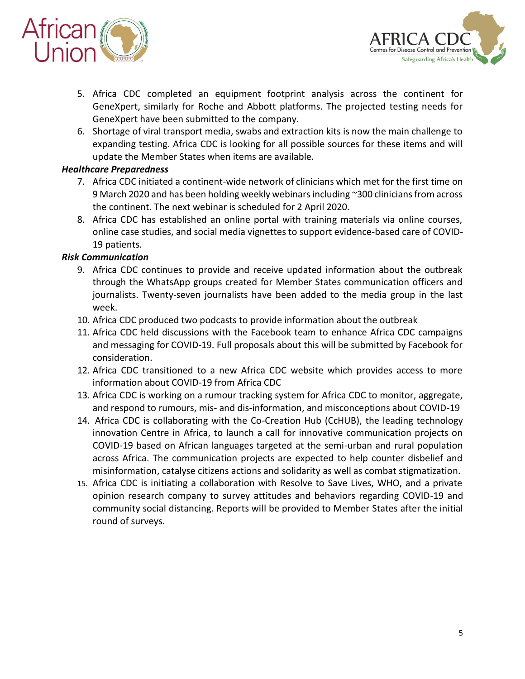



- 5. Africa CDC completed an equipment footprint analysis across the continent for GeneXpert, similarly for Roche and Abbott platforms. The projected testing needs for GeneXpert have been submitted to the company.
- 6. Shortage of viral transport media, swabs and extraction kits is now the main challenge to expanding testing. Africa CDC is looking for all possible sources for these items and will update the Member States when items are available.

### *Healthcare Preparedness*

- 7. Africa CDC initiated a continent-wide network of clinicians which met for the first time on 9 March 2020 and has been holding weekly webinars including ~300 clinicians from across the continent. The next webinar is scheduled for 2 April 2020.
- 8. Africa CDC has established an online portal with training materials via online courses, online case studies, and social media vignettes to support evidence-based care of COVID-19 patients.

### *Risk Communication*

- 9. Africa CDC continues to provide and receive updated information about the outbreak through the WhatsApp groups created for Member States communication officers and journalists. Twenty-seven journalists have been added to the media group in the last week.
- 10. Africa CDC produced two podcasts to provide information about the outbreak
- 11. Africa CDC held discussions with the Facebook team to enhance Africa CDC campaigns and messaging for COVID-19. Full proposals about this will be submitted by Facebook for consideration.
- 12. Africa CDC transitioned to a new Africa CDC website which provides access to more information about COVID-19 from Africa CDC
- 13. Africa CDC is working on a rumour tracking system for Africa CDC to monitor, aggregate, and respond to rumours, mis- and dis-information, and misconceptions about COVID-19
- 14. Africa CDC is collaborating with the Co-Creation Hub (CcHUB), the leading technology innovation Centre in Africa, to launch a call for innovative communication projects on COVID-19 based on African languages targeted at the semi-urban and rural population across Africa. The communication projects are expected to help counter disbelief and misinformation, catalyse citizens actions and solidarity as well as combat stigmatization.
- 15. Africa CDC is initiating a collaboration with Resolve to Save Lives, WHO, and a private opinion research company to survey attitudes and behaviors regarding COVID-19 and community social distancing. Reports will be provided to Member States after the initial round of surveys.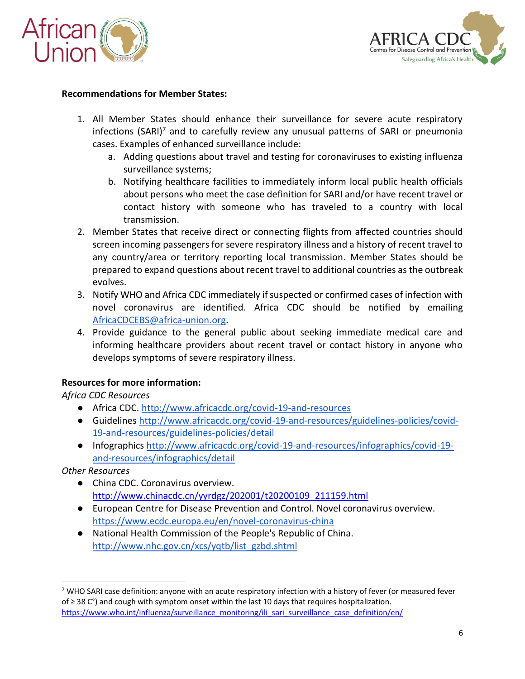



#### **Recommendations for Member States:**

- 1. All Member States should enhance their surveillance for severe acute respiratory infections (SARI)<sup>7</sup> and to carefully review any unusual patterns of SARI or pneumonia cases. Examples of enhanced surveillance include:
	- a. Adding questions about travel and testing for coronaviruses to existing influenza surveillance systems;
	- b. Notifying healthcare facilities to immediately inform local public health officials about persons who meet the case definition for SARI and/or have recent travel or contact history with someone who has traveled to a country with local transmission.
- 2. Member States that receive direct or connecting flights from affected countries should screen incoming passengers for severe respiratory illness and a history of recent travel to any country/area or territory reporting local transmission. Member States should be prepared to expand questions about recent travel to additional countries as the outbreak evolves.
- 3. Notify WHO and Africa CDC immediately if suspected or confirmed cases of infection with novel coronavirus are identified. Africa CDC should be notified by emailing [AfricaCDCEBS@africa-union.org.](mailto:AfricaCDCEBS@africa-union.org)
- 4. Provide guidance to the general public about seeking immediate medical care and informing healthcare providers about recent travel or contact history in anyone who develops symptoms of severe respiratory illness.

#### **Resources for more information:**

*Africa CDC Resources*

- Africa CDC.<http://www.africacdc.org/covid-19-and-resources>
- Guideline[s](http://www.africacdc.org/covid-19-and-resources/guidelines-policies/covid-19-and-resources/guidelines-policies/detail) [http://www.africacdc.org/covid-19-and-resources/guidelines-policies/covid-](http://www.africacdc.org/covid-19-and-resources/guidelines-policies/covid-19-and-resources/guidelines-policies/detail)[19-and-resources/guidelines-policies/detail](http://www.africacdc.org/covid-19-and-resources/guidelines-policies/covid-19-and-resources/guidelines-policies/detail)
- Infographics [http://www.africacdc.org/covid-19-and-resources/infographics/covid-19](http://www.africacdc.org/covid-19-and-resources/infographics/covid-19-and-resources/infographics/detail) [and-resources/infographics/detail](http://www.africacdc.org/covid-19-and-resources/infographics/covid-19-and-resources/infographics/detail)

*Other Resources*

 $\overline{a}$ 

- China CDC. Coronavirus overview. [http://www.chinacdc.cn/yyrdgz/202001/t20200109\\_211159.html](http://www.chinacdc.cn/yyrdgz/202001/t20200109_211159.html)
- European Centre for Disease Prevention and Control. Novel coronavirus overview. <https://www.ecdc.europa.eu/en/novel-coronavirus-china>
- National Health Commission of the People's Republic of China. [http://www.nhc.gov.cn/xcs/yqtb/list\\_gzbd.shtml](http://www.nhc.gov.cn/xcs/yqtb/list_gzbd.shtml)

<sup>&</sup>lt;sup>7</sup> WHO SARI case definition: anyone with an acute respiratory infection with a history of fever (or measured fever of ≥ 38 C°) and cough with symptom onset within the last 10 days that requires hospitalization. [https://www.who.int/influenza/surveillance\\_monitoring/ili\\_sari\\_surveillance\\_case\\_definition/en/](https://www.who.int/influenza/surveillance_monitoring/ili_sari_surveillance_case_definition/en/)